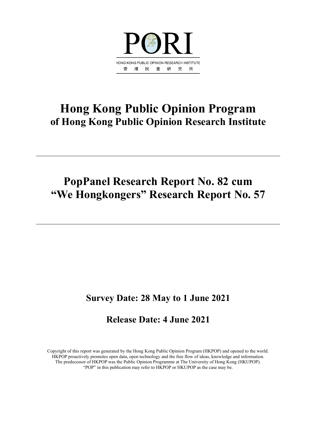

# **Hong Kong Public Opinion Program of Hong Kong Public Opinion Research Institute**

# **PopPanel Research Report No. 82 cum "We Hongkongers" Research Report No. 57**

# **Survey Date: 28 May to 1 June 2021**

# **Release Date: 4 June 2021**

Copyright of this report was generated by the Hong Kong Public Opinion Program (HKPOP) and opened to the world. HKPOP proactively promotes open data, open technology and the free flow of ideas, knowledge and information. The predecessor of HKPOP was the Public Opinion Programme at The University of Hong Kong (HKUPOP). "POP" in this publication may refer to HKPOP or HKUPOP as the case may be.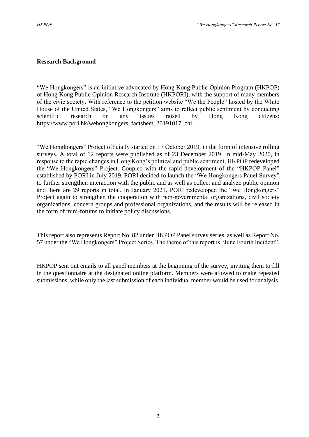### **Research Background**

"We Hongkongers" is an initiative advocated by Hong Kong Public Opinion Program (HKPOP) of Hong Kong Public Opinion Research Institute (HKPORI), with the support of many members of the civic society. With reference to the petition website "We the People" hosted by the White House of the United States, "We Hongkongers" aims to reflect public sentiment by conducting scientific research on any issues raised by Hong Kong citizens: https://www.pori.hk/wehongkongers\_factsheet\_20191017\_chi.

"We Hongkongers" Project officially started on 17 October 2019, in the form of intensive rolling surveys. A total of 12 reports were published as of 23 December 2019. In mid-May 2020, in response to the rapid changes in Hong Kong's political and public sentiment, HKPOP redeveloped the "We Hongkongers" Project. Coupled with the rapid development of the "HKPOP Panel" established by PORI in July 2019, PORI decided to launch the "We Hongkongers Panel Survey" to further strengthen interaction with the public and as well as collect and analyze public opinion and there are 29 reports in total. In January 2021, PORI redeveloped the "We Hongkongers" Project again to strengthen the cooperation with non-governmental organizations, civil society organizations, concern groups and professional organizations, and the results will be released in the form of mini-forums to initiate policy discussions.

This report also represents Report No. 82 under HKPOP Panel survey series, as well as Report No. 57 under the "We Hongkongers" Project Series. The theme of this report is "June Fourth Incident".

HKPOP sent out emails to all panel members at the beginning of the survey, inviting them to fill in the questionnaire at the designated online platform. Members were allowed to make repeated submissions, while only the last submission of each individual member would be used for analysis.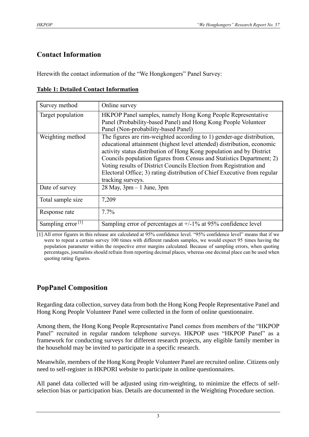# **Contact Information**

Herewith the contact information of the "We Hongkongers" Panel Survey:

| Survey method        | Online survey                                                                                                                                                                                                                                                                                                                                                                                                                                                           |
|----------------------|-------------------------------------------------------------------------------------------------------------------------------------------------------------------------------------------------------------------------------------------------------------------------------------------------------------------------------------------------------------------------------------------------------------------------------------------------------------------------|
| Target population    | HKPOP Panel samples, namely Hong Kong People Representative<br>Panel (Probability-based Panel) and Hong Kong People Volunteer<br>Panel (Non-probability-based Panel)                                                                                                                                                                                                                                                                                                    |
| Weighting method     | The figures are rim-weighted according to 1) gender-age distribution,<br>educational attainment (highest level attended) distribution, economic<br>activity status distribution of Hong Kong population and by District<br>Councils population figures from Census and Statistics Department; 2)<br>Voting results of District Councils Election from Registration and<br>Electoral Office; 3) rating distribution of Chief Executive from regular<br>tracking surveys. |
| Date of survey       | $28$ May, $3pm - 1$ June, $3pm$                                                                                                                                                                                                                                                                                                                                                                                                                                         |
| Total sample size    | 7,209                                                                                                                                                                                                                                                                                                                                                                                                                                                                   |
| Response rate        | $7.7\%$                                                                                                                                                                                                                                                                                                                                                                                                                                                                 |
| Sampling error $[1]$ | Sampling error of percentages at $+/-1\%$ at 95% confidence level                                                                                                                                                                                                                                                                                                                                                                                                       |

[1] All error figures in this release are calculated at 95% confidence level. "95% confidence level" means that if we were to repeat a certain survey 100 times with different random samples, we would expect 95 times having the population parameter within the respective error margins calculated. Because of sampling errors, when quoting percentages, journalists should refrain from reporting decimal places, whereas one decimal place can be used when quoting rating figures.

# **PopPanel Composition**

Regarding data collection, survey data from both the Hong Kong People Representative Panel and Hong Kong People Volunteer Panel were collected in the form of online questionnaire.

Among them, the Hong Kong People Representative Panel comes from members of the "HKPOP Panel" recruited in regular random telephone surveys. HKPOP uses "HKPOP Panel" as a framework for conducting surveys for different research projects, any eligible family member in the household may be invited to participate in a specific research.

Meanwhile, members of the Hong Kong People Volunteer Panel are recruited online. Citizens only need to self-register in HKPORI website to participate in online questionnaires.

All panel data collected will be adjusted using rim-weighting, to minimize the effects of selfselection bias or participation bias. Details are documented in the Weighting Procedure section.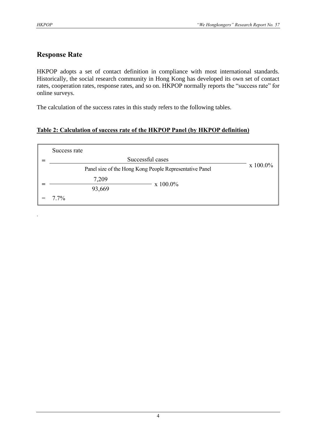.

# **Response Rate**

HKPOP adopts a set of contact definition in compliance with most international standards. Historically, the social research community in Hong Kong has developed its own set of contact rates, cooperation rates, response rates, and so on. HKPOP normally reports the "success rate" for online surveys.

The calculation of the success rates in this study refers to the following tables.

# **Table 2: Calculation of success rate of the HKPOP Panel (by HKPOP definition)**

| Success rate     |                                                         |                  |  |  |  |  |  |  |  |  |  |  |
|------------------|---------------------------------------------------------|------------------|--|--|--|--|--|--|--|--|--|--|
| Successful cases |                                                         |                  |  |  |  |  |  |  |  |  |  |  |
|                  | Panel size of the Hong Kong People Representative Panel | $\rm x\;100.0\%$ |  |  |  |  |  |  |  |  |  |  |
| 7,209            | $\rm x\;100.0\%$                                        |                  |  |  |  |  |  |  |  |  |  |  |
| 93,669           |                                                         |                  |  |  |  |  |  |  |  |  |  |  |
| $7.7\%$          |                                                         |                  |  |  |  |  |  |  |  |  |  |  |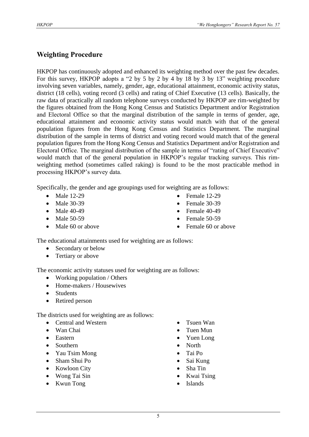# **Weighting Procedure**

HKPOP has continuously adopted and enhanced its weighting method over the past few decades. For this survey, HKPOP adopts a "2 by 5 by 2 by 4 by 18 by 3 by 13" weighting procedure involving seven variables, namely, gender, age, educational attainment, economic activity status, district (18 cells), voting record (3 cells) and rating of Chief Executive (13 cells). Basically, the raw data of practically all random telephone surveys conducted by HKPOP are rim-weighted by the figures obtained from the Hong Kong Census and Statistics Department and/or Registration and Electoral Office so that the marginal distribution of the sample in terms of gender, age, educational attainment and economic activity status would match with that of the general population figures from the Hong Kong Census and Statistics Department. The marginal distribution of the sample in terms of district and voting record would match that of the general population figures from the Hong Kong Census and Statistics Department and/or Registration and Electoral Office. The marginal distribution of the sample in terms of "rating of Chief Executive" would match that of the general population in HKPOP's regular tracking surveys. This rimweighting method (sometimes called raking) is found to be the most practicable method in processing HKPOP's survey data.

Specifically, the gender and age groupings used for weighting are as follows:

- Male 12-29
- Male 30-39
- Male 40-49
- Male 50-59
- Male 60 or above
- Female 12-29
- Female 30-39
- Female  $40-49$
- Female 50-59
- Female 60 or above

The educational attainments used for weighting are as follows:

- Secondary or below
- Tertiary or above

The economic activity statuses used for weighting are as follows:

- Working population / Others
- Home-makers / Housewives
- Students
- Retired person

The districts used for weighting are as follows:

- Central and Western
- Wan Chai
- Eastern
- Southern
- Yau Tsim Mong
- Sham Shui Po
- Kowloon City
- Wong Tai Sin
- Kwun Tong
- Tsuen Wan
- Tuen Mun
- Yuen Long
- North
- Tai Po
- Sai Kung
- Sha Tin
- Kwai Tsing
- **Islands**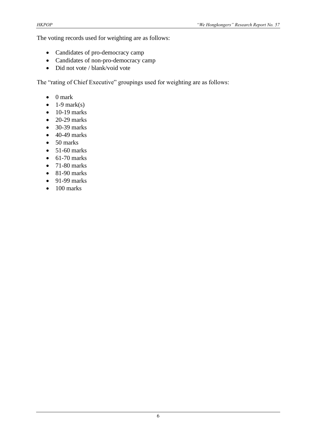The voting records used for weighting are as follows:

- Candidates of pro-democracy camp
- Candidates of non-pro-democracy camp
- Did not vote / blank/void vote

The "rating of Chief Executive" groupings used for weighting are as follows:

- 0 mark
- $\bullet$  1-9 mark(s)
- $\bullet$  10-19 marks
- $\bullet$  20-29 marks
- 30-39 marks
- $\bullet$  40-49 marks
- 50 marks
- $\bullet$  51-60 marks
- $\bullet$  61-70 marks
- $\bullet$  71-80 marks
- $\bullet$  81-90 marks
- $\bullet$  91-99 marks
- $\bullet$  100 marks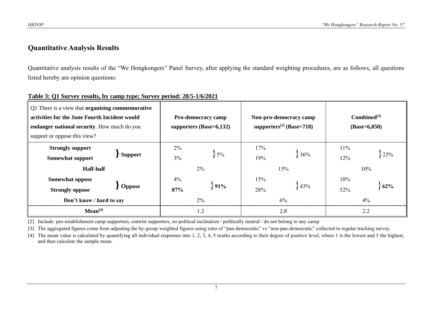# **Quantitative Analysis Results**

Quantitative analysis results of the "We Hongkongers" Panel Survey, after applying the standard weighting procedures, are as follows, all questions listed hereby are opinion questions:

| Q1 There is a view that <b>organising commemorative</b><br>activities for the June Fourth Incident would<br>endanger national security. How much do you<br>support or oppose this view? |           | <b>Pro-democracy camp</b><br>supporters $(Base=6,132)$ |            | Non-pro-democracy camp<br>supporters <sup>[2]</sup> (Base=718) | $Combined^{[3]}$<br>$(Base=6, 850)$ |  |  |
|-----------------------------------------------------------------------------------------------------------------------------------------------------------------------------------------|-----------|--------------------------------------------------------|------------|----------------------------------------------------------------|-------------------------------------|--|--|
| <b>Strongly support</b><br><b>Support</b><br>Somewhat support<br><b>Half-half</b>                                                                                                       | 2%<br>3%  | $5\%$<br>$2\%$                                         | 17%<br>19% | 36%<br>15%                                                     | $11\%$<br>23%<br>12%<br>10%         |  |  |
| <b>Somewhat oppose</b><br><b>Oppose</b><br><b>Strongly oppose</b><br>Don't know / hard to say                                                                                           | 4%<br>87% | .91%<br>$2\%$                                          |            | 43%<br>6%                                                      | $10\%$<br>$62\%$<br>52%<br>4%       |  |  |
| Mean <sup>[4]</sup>                                                                                                                                                                     |           | 1.2                                                    |            | 2.8                                                            | 2.2                                 |  |  |

#### **Table 3: Q1 Survey results, by camp type; Survey period: 28/5-1/6/2021**

[2] Include: pro-establishment camp supporters, centrist supporters, no political inclination / politically neutral / do not belong to any camp

[3] The aggregated figures come from adjusting the by-group weighted figures using ratio of "pan-democratic" vs "non-pan-democratic" collected in regular tracking survey.

[4] The mean value is calculated by quantifying all individual responses into 1, 2, 3, 4, 5 marks according to their degree of positive level, where 1 is the lowest and 5 the highest, and then calculate the sample mean.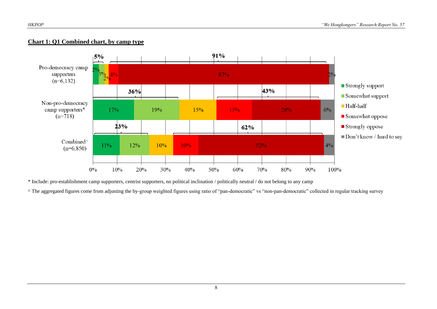#### **Chart 1: Q1 Combined chart, by camp type**



\* Include: pro-establishment camp supporters, centrist supporters, no political inclination / politically neutral / do not belong to any camp

^ The aggregated figures come from adjusting the by-group weighted figures using ratio of "pan-democratic" vs "non-pan-democratic" collected in regular tracking survey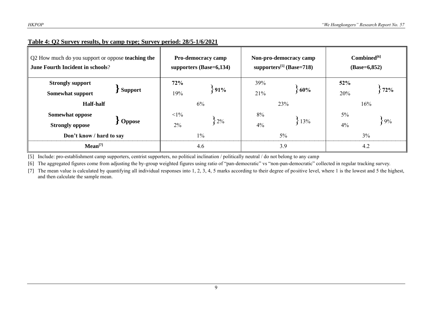| Q2 How much do you support or oppose teaching the<br><b>June Fourth Incident in schools?</b> |                |                          | <b>Pro-democracy camp</b><br>supporters $(Base=6,134)$ |                 | Non-pro-democracy camp<br>supporters <sup>[5]</sup> (Base=718) | Combined <sup>[6]</sup><br>$(Base=6, 852)$ |     |  |
|----------------------------------------------------------------------------------------------|----------------|--------------------------|--------------------------------------------------------|-----------------|----------------------------------------------------------------|--------------------------------------------|-----|--|
| <b>Strongly support</b><br>Somewhat support                                                  | <b>Support</b> | 72%<br>19%               | 891%                                                   | 39%<br>21%      | 60%                                                            | 52%<br>20%                                 | 72% |  |
| <b>Half-half</b>                                                                             |                |                          | 6%                                                     |                 | 23%                                                            | 16%                                        |     |  |
| <b>Somewhat oppose</b><br><b>Strongly oppose</b>                                             | <b>Oppose</b>  | $<1\%$<br>$2\%$<br>$2\%$ |                                                        | 8%<br>13%<br>4% |                                                                | $5\%$<br>4%                                | 89% |  |
| Don't know / hard to say                                                                     |                | $1\%$                    |                                                        | $5\%$           | 3%                                                             |                                            |     |  |
| Mean <sup>[7]</sup>                                                                          |                | 4.6                      |                                                        | 3.9             | 4.2                                                            |                                            |     |  |

## **Table 4: Q2 Survey results, by camp type; Survey period: 28/5-1/6/2021**

[5] Include: pro-establishment camp supporters, centrist supporters, no political inclination / politically neutral / do not belong to any camp

[6] The aggregated figures come from adjusting the by-group weighted figures using ratio of "pan-democratic" vs "non-pan-democratic" collected in regular tracking survey.

[7] The mean value is calculated by quantifying all individual responses into 1, 2, 3, 4, 5 marks according to their degree of positive level, where 1 is the lowest and 5 the highest, and then calculate the sample mean.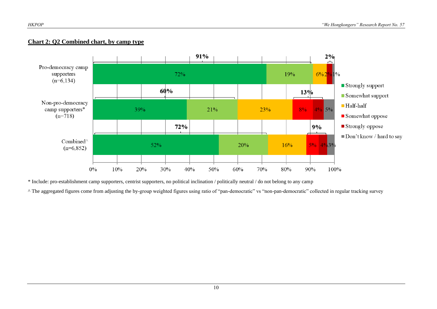#### **Chart 2: Q2 Combined chart, by camp type**



\* Include: pro-establishment camp supporters, centrist supporters, no political inclination / politically neutral / do not belong to any camp

^ The aggregated figures come from adjusting the by-group weighted figures using ratio of "pan-democratic" vs "non-pan-democratic" collected in regular tracking survey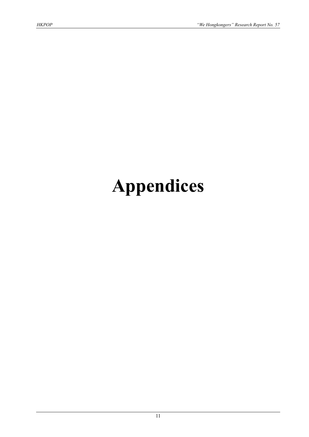# **Appendices**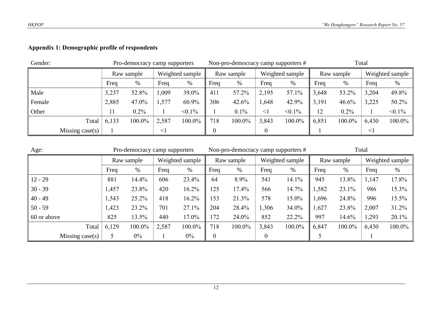# **Appendix 1: Demographic profile of respondents**

| Gender: |                   |            | Pro-democracy camp supporters |                 |           |            | Non-pro-democracy camp supporters # |                 |           | Total      |        |                 |           |
|---------|-------------------|------------|-------------------------------|-----------------|-----------|------------|-------------------------------------|-----------------|-----------|------------|--------|-----------------|-----------|
|         |                   | Raw sample |                               | Weighted sample |           | Raw sample |                                     | Weighted sample |           | Raw sample |        | Weighted sample |           |
|         |                   | Freq       | %                             | Freq            | %         | Freq       | %                                   | Freq            | %         | Freq       | %      | Freq            | $\%$      |
| Male    |                   | 3,237      | 52.8%                         | 1,009           | 39.0%     | 411        | 57.2%                               | 2,195           | 57.1%     | 3,648      | 53.2%  | 3,204           | 49.8%     |
| Female  |                   | 2,885      | 47.0%                         | 1,577           | 60.9%     | 306        | 42.6%                               | ,648            | 42.9%     | 3,191      | 46.6%  | 3,225           | 50.2%     |
| Other   |                   | 11         | $0.2\%$                       |                 | $< 0.1\%$ |            | 0.1%                                | $\leq$ 1        | $< 0.1\%$ | 12         | 0.2%   |                 | $< 0.1\%$ |
|         | Total             | 6,133      | 100.0%                        | 2,587           | 100.0%    | 718        | 100.0%                              | 3,843           | 100.0%    | 6,851      | 100.0% | 6,430           | 100.0%    |
|         | Missing $case(s)$ | $\leq$     |                               |                 |           |            |                                     |                 |           |            | $\leq$ |                 |           |

| Age:                    | Pro-democracy camp supporters |        |                 |        |            |        |                 | Non-pro-democracy camp supporters # | Total      |        |                 |        |
|-------------------------|-------------------------------|--------|-----------------|--------|------------|--------|-----------------|-------------------------------------|------------|--------|-----------------|--------|
|                         | Raw sample                    |        | Weighted sample |        | Raw sample |        | Weighted sample |                                     | Raw sample |        | Weighted sample |        |
|                         | Freq                          | %      | Freq            | %      | Freq       | %      | Freq            | %                                   | Freq       | %      | Freq            | $\%$   |
| $12 - 29$               | 881                           | 14.4%  | 606             | 23.4%  | 64         | 8.9%   | 541             | 14.1%                               | 945        | 13.8%  | 1,147           | 17.8%  |
| $30 - 39$               | 1,457                         | 23.8%  | 420             | 16.2%  | 125        | 17.4%  | 566             | 14.7%                               | 1,582      | 23.1%  | 986             | 15.3%  |
| $40 - 49$               | 1,543                         | 25.2%  | 418             | 16.2%  | 153        | 21.3%  | 578             | 15.0%                               | 1,696      | 24.8%  | 996             | 15.5%  |
| $50 - 59$               | 1,423                         | 23.2%  | 701             | 27.1%  | 204        | 28.4%  | 1,306           | 34.0%                               | 1,627      | 23.8%  | 2,007           | 31.2%  |
| $\parallel$ 60 or above | 825                           | 13.5%  | 440             | 17.0%  | 172        | 24.0%  | 852             | 22.2%                               | 997        | 14.6%  | 1,293           | 20.1%  |
| Total                   | 6,129                         | 100.0% | 2,587           | 100.0% | 718        | 100.0% | 3,843           | 100.0%                              | 6,847      | 100.0% | 6,430           | 100.0% |
| Missing $case(s)$<br>5  |                               | $0\%$  |                 | $0\%$  | $\theta$   |        | 0               |                                     |            |        |                 |        |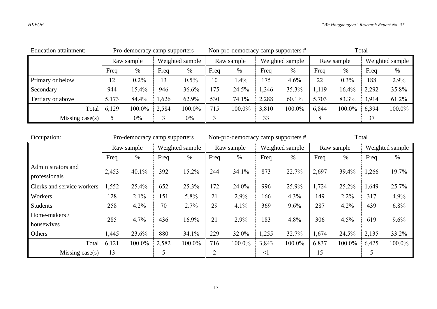| <b>Education attainment:</b> |            | Non-pro-democracy camp supporters # |                 |        | Total      |         |                 |        |            |        |                 |        |
|------------------------------|------------|-------------------------------------|-----------------|--------|------------|---------|-----------------|--------|------------|--------|-----------------|--------|
|                              | Raw sample |                                     | Weighted sample |        | Raw sample |         | Weighted sample |        | Raw sample |        | Weighted sample |        |
|                              | Freq       | %                                   | Freq            | %      | Freq       | $\%$    | Freq            | %      | Freq       | $\%$   | Freq            | %      |
| Primary or below             | 12         | $0.2\%$                             | 13              | 0.5%   | 10         | $1.4\%$ | 175             | 4.6%   | 22         | 0.3%   | 188             | 2.9%   |
| Secondary                    | 944        | 15.4%                               | 946             | 36.6%  | 175        | 24.5%   | 1,346           | 35.3%  | 1,119      | 16.4%  | 2,292           | 35.8%  |
| Tertiary or above            | 5,173      | 84.4%                               | 1,626           | 62.9%  | 530        | 74.1%   | 2,288           | 60.1%  | 5,703      | 83.3%  | 3,914           | 61.2%  |
| Total                        | 6,129      | 100.0%                              | 2,584           | 100.0% | 715        | 100.0%  | 3,810           | 100.0% | 6,844      | 100.0% | 6,394           | 100.0% |
| Missing case(s)              |            | $0\%$                               |                 | $0\%$  |            |         | 33              |        | 8          |        | 37              |        |

| Occupation:                |       | Pro-democracy camp supporters |                 |        |            | Non-pro-democracy camp supporters # |                 |        | Total      |        |                 |        |
|----------------------------|-------|-------------------------------|-----------------|--------|------------|-------------------------------------|-----------------|--------|------------|--------|-----------------|--------|
|                            |       | Raw sample                    | Weighted sample |        | Raw sample |                                     | Weighted sample |        | Raw sample |        | Weighted sample |        |
|                            | Freq  | $\%$                          | Freq            | %      | Freq       | %                                   | Freq            | %      | Freq       | %      | Freq            | $\%$   |
| Administrators and         | 2,453 | 40.1%                         | 392             | 15.2%  | 244        | 34.1%                               | 873             | 22.7%  | 2,697      | 39.4%  | 1,266           | 19.7%  |
| professionals              |       |                               |                 |        |            |                                     |                 |        |            |        |                 |        |
| Clerks and service workers | 1,552 | 25.4%                         | 652             | 25.3%  | 172        | 24.0%                               | 996             | 25.9%  | 1,724      | 25.2%  | 1,649           | 25.7%  |
| Workers                    | 128   | 2.1%                          | 151             | 5.8%   | 21         | 2.9%                                | 166             | 4.3%   | 149        | 2.2%   | 317             | 4.9%   |
| <b>Students</b>            | 258   | 4.2%                          | 70              | 2.7%   | 29         | 4.1%                                | 369             | 9.6%   | 287        | 4.2%   | 439             | 6.8%   |
| Home-makers /              | 285   | 4.7%                          | 436             | 16.9%  | 21         | 2.9%                                | 183             | 4.8%   | 306        | 4.5%   | 619             | 9.6%   |
| housewives                 |       |                               |                 |        |            |                                     |                 |        |            |        |                 |        |
| Others                     | 1,445 | 23.6%                         | 880             | 34.1%  | 229        | 32.0%                               | 1,255           | 32.7%  | 1,674      | 24.5%  | 2,135           | 33.2%  |
| Total                      | 6,121 | 100.0%                        | 2,582           | 100.0% | 716        | 100.0%                              | 3,843           | 100.0% | 6,837      | 100.0% | 6,425           | 100.0% |
| Missing $case(s)$          | 13    |                               |                 |        | ◠          |                                     | $\leq$ 1        |        | 15         |        | 5               |        |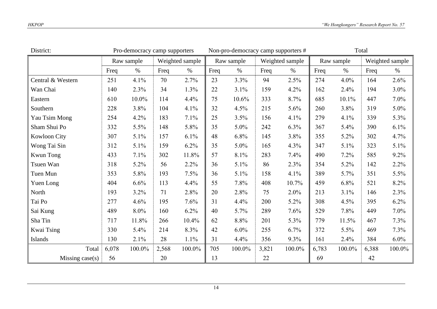| District:           |          | Pro-democracy camp supporters |                 |        |      | Non-pro-democracy camp supporters # |       |                 | Total |            |       |                 |
|---------------------|----------|-------------------------------|-----------------|--------|------|-------------------------------------|-------|-----------------|-------|------------|-------|-----------------|
|                     |          | Raw sample                    | Weighted sample |        |      | Raw sample                          |       | Weighted sample |       | Raw sample |       | Weighted sample |
|                     | Freq     | $\%$                          | Freq            | $\%$   | Freq | $\%$                                | Freq  | $\%$            | Freq  | $\%$       | Freq  | $\%$            |
| Central & Western   | 251      | 4.1%                          | 70              | 2.7%   | 23   | 3.3%                                | 94    | 2.5%            | 274   | 4.0%       | 164   | 2.6%            |
| Wan Chai            | 140      | 2.3%                          | 34              | 1.3%   | 22   | 3.1%                                | 159   | 4.2%            | 162   | 2.4%       | 194   | $3.0\%$         |
| Eastern             | 610      | 10.0%                         | 114             | 4.4%   | 75   | 10.6%                               | 333   | 8.7%            | 685   | 10.1%      | 447   | $7.0\%$         |
| Southern            | 228      | 3.8%                          | 104             | 4.1%   | 32   | 4.5%                                | 215   | 5.6%            | 260   | 3.8%       | 319   | $5.0\%$         |
| Yau Tsim Mong       | 254      | 4.2%                          | 183             | 7.1%   | 25   | 3.5%                                | 156   | 4.1%            | 279   | 4.1%       | 339   | 5.3%            |
| Sham Shui Po        | 332      | 5.5%                          | 148             | 5.8%   | 35   | 5.0%                                | 242   | 6.3%            | 367   | 5.4%       | 390   | 6.1%            |
| <b>Kowloon City</b> | 307      | 5.1%                          | 157             | 6.1%   | 48   | 6.8%                                | 145   | 3.8%            | 355   | 5.2%       | 302   | 4.7%            |
| Wong Tai Sin        | 312      | 5.1%                          | 159             | 6.2%   | 35   | 5.0%                                | 165   | 4.3%            | 347   | 5.1%       | 323   | 5.1%            |
| <b>Kwun Tong</b>    | 433      | 7.1%                          | 302             | 11.8%  | 57   | 8.1%                                | 283   | 7.4%            | 490   | $7.2\%$    | 585   | $9.2\%$         |
| Tsuen Wan           | 318      | 5.2%                          | 56              | 2.2%   | 36   | 5.1%                                | 86    | 2.3%            | 354   | 5.2%       | 142   | $2.2\%$         |
| Tuen Mun            | 353      | 5.8%                          | 193             | 7.5%   | 36   | 5.1%                                | 158   | 4.1%            | 389   | 5.7%       | 351   | 5.5%            |
| Yuen Long           | 404      | 6.6%                          | 113             | 4.4%   | 55   | 7.8%                                | 408   | 10.7%           | 459   | 6.8%       | 521   | 8.2%            |
| North               | 193      | 3.2%                          | 71              | 2.8%   | 20   | 2.8%                                | 75    | 2.0%            | 213   | 3.1%       | 146   | 2.3%            |
| Tai Po              | 277      | 4.6%                          | 195             | 7.6%   | 31   | 4.4%                                | 200   | 5.2%            | 308   | 4.5%       | 395   | $6.2\%$         |
| Sai Kung            | 489      | 8.0%                          | 160             | 6.2%   | 40   | 5.7%                                | 289   | 7.6%            | 529   | 7.8%       | 449   | $7.0\%$         |
| Sha Tin             | 717      | 11.8%                         | 266             | 10.4%  | 62   | 8.8%                                | 201   | 5.3%            | 779   | 11.5%      | 467   | 7.3%            |
| Kwai Tsing          | 330      | 5.4%                          | 214             | 8.3%   | 42   | $6.0\%$                             | 255   | 6.7%            | 372   | 5.5%       | 469   | 7.3%            |
| Islands             | 130      | 2.1%                          | 28              | 1.1%   | 31   | 4.4%                                | 356   | 9.3%            | 161   | 2.4%       | 384   | $6.0\%$         |
| Total               | 6,078    | $100.0\%$                     | 2,568           | 100.0% | 705  | 100.0%                              | 3,821 | 100.0%          | 6,783 | 100.0%     | 6,388 | 100.0%          |
| Missing $case(s)$   | 56<br>20 |                               |                 |        | 13   |                                     | 22    |                 | 69    |            | 42    |                 |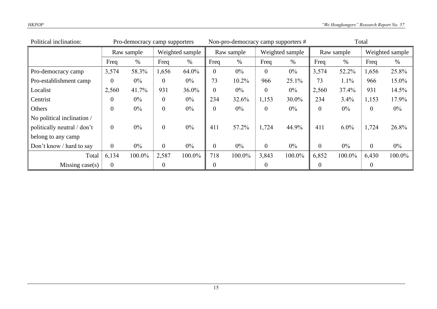| Political inclination:             | Pro-democracy camp supporters |            |                  |        |                | Non-pro-democracy camp supporters # |                 |        | Total          |         |                |                 |
|------------------------------------|-------------------------------|------------|------------------|--------|----------------|-------------------------------------|-----------------|--------|----------------|---------|----------------|-----------------|
|                                    |                               | Raw sample | Weighted sample  |        | Raw sample     |                                     | Weighted sample |        | Raw sample     |         |                | Weighted sample |
|                                    | Freq                          | $\%$       | Freq             | $\%$   | Freq           | $\%$                                | Freq            | $\%$   | Freq           | $\%$    | Freq           | %               |
| Pro-democracy camp                 | 3,574                         | 58.3%      | 1,656            | 64.0%  | $\mathbf{0}$   | $0\%$                               | $\overline{0}$  | $0\%$  | 3,574          | 52.2%   | 1,656          | 25.8%           |
| Pro-establishment camp             | $\theta$                      | $0\%$      | $\overline{0}$   | $0\%$  | 73             | 10.2%                               | 966             | 25.1%  | 73             | 1.1%    | 966            | 15.0%           |
| Localist                           | 2,560                         | 41.7%      | 931              | 36.0%  | $\mathbf{0}$   | $0\%$                               | $\mathbf{0}$    | $0\%$  | 2,560          | 37.4%   | 931            | 14.5%           |
| Centrist                           | $\theta$                      | $0\%$      | $\boldsymbol{0}$ | $0\%$  | 234            | 32.6%                               | 1,153           | 30.0%  | 234            | 3.4%    | 1,153          | 17.9%           |
| Others                             | $\boldsymbol{0}$              | $0\%$      | $\boldsymbol{0}$ | $0\%$  | $\mathbf{0}$   | $0\%$                               | $\mathbf{0}$    | $0\%$  | $\theta$       | $0\%$   | $\theta$       | $0\%$           |
| $\vert$ No political inclination / |                               |            |                  |        |                |                                     |                 |        |                |         |                |                 |
| politically neutral / don't        | $\overline{0}$                | $0\%$      | $\mathbf{0}$     | $0\%$  | 411            | 57.2%                               | 1,724           | 44.9%  | 411            | $6.0\%$ | 1,724          | 26.8%           |
| belong to any camp                 |                               |            |                  |        |                |                                     |                 |        |                |         |                |                 |
| Don't know / hard to say           | $\overline{0}$                | $0\%$      | $\mathbf{0}$     | $0\%$  | $\mathbf{0}$   | $0\%$                               | $\overline{0}$  | $0\%$  | $\overline{0}$ | $0\%$   | $\overline{0}$ | $0\%$           |
| Total                              | 6,134                         | 100.0%     | 2,587            | 100.0% | 718            | 100.0%                              | 3,843           | 100.0% | 6,852          | 100.0%  | 6,430          | 100.0%          |
| Missing $case(s)$                  | $\boldsymbol{0}$              |            | $\boldsymbol{0}$ |        | $\overline{0}$ |                                     | $\mathbf{0}$    |        | $\theta$       |         | $\overline{0}$ |                 |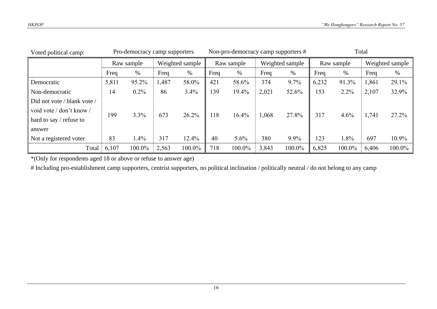| Voted political camp:       | Pro-democracy camp supporters |         | Non-pro-democracy camp supporters # |        |            |        | Total |                 |       |            |       |                 |
|-----------------------------|-------------------------------|---------|-------------------------------------|--------|------------|--------|-------|-----------------|-------|------------|-------|-----------------|
|                             | Raw sample                    |         | Weighted sample                     |        | Raw sample |        |       | Weighted sample |       | Raw sample |       | Weighted sample |
|                             | Freq                          | %       | Freq                                | %      | Freq       | $\%$   | Freq  | %               | Freq  | %          | Freq  | %               |
| Democratic                  | 5,811                         | 95.2%   | 1,487                               | 58.0%  | 421        | 58.6%  | 374   | 9.7%            | 6,232 | 91.3%      | 1,861 | 29.1%           |
| Non-democratic              | 14                            | $0.2\%$ | 86                                  | 3.4%   | 139        | 19.4%  | 2,021 | 52.6%           | 153   | $2.2\%$    | 2,107 | 32.9%           |
| Did not vote / blank vote / |                               |         |                                     |        |            |        |       |                 |       |            |       |                 |
| void vote / don't know /    | 199                           | 3.3%    | 673                                 | 26.2%  | 118        | 16.4%  | 1,068 | 27.8%           | 317   | 4.6%       | 1,741 | 27.2%           |
| hard to say / refuse to     |                               |         |                                     |        |            |        |       |                 |       |            |       |                 |
| answer                      |                               |         |                                     |        |            |        |       |                 |       |            |       |                 |
| Not a registered voter      | 83                            | 1.4%    | 317                                 | 12.4%  | 40         | 5.6%   | 380   | 9.9%            | 123   | 1.8%       | 697   | 10.9%           |
| Total                       | 6,107                         | 100.0%  | 2,563                               | 100.0% | 718        | 100.0% | 3,843 | 100.0%          | 6,825 | 100.0%     | 6,406 | $100.0\%$       |

\*(Only for respondents aged 18 or above or refuse to answer age)

# Including pro-establishment camp supporters, centrist supporters, no political inclination / politically neutral / do not belong to any camp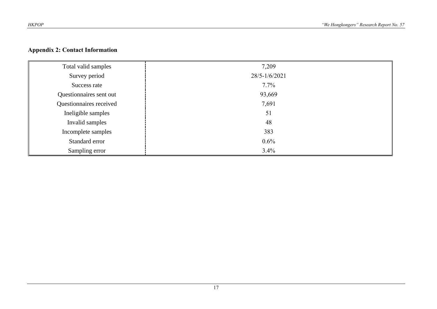## **Appendix 2: Contact Information**

| Total valid samples     | 7,209         |
|-------------------------|---------------|
| Survey period           | 28/5-1/6/2021 |
| Success rate            | $7.7\%$       |
| Questionnaires sent out | 93,669        |
| Questionnaires received | 7,691         |
| Ineligible samples      | 51            |
| Invalid samples         | 48            |
| Incomplete samples      | 383           |
| Standard error          | $0.6\%$       |
| Sampling error          | 3.4%          |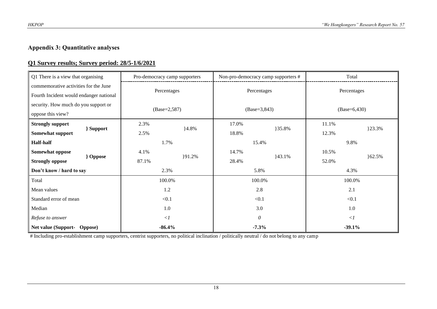# **Appendix 3: Quantitative analyses**

### **Q1 Survey results; Survey period: 28/5-1/6/2021**

| Q1 There is a view that organising        | Pro-democracy camp supporters |         | Non-pro-democracy camp supporters # |        | Total           |        |
|-------------------------------------------|-------------------------------|---------|-------------------------------------|--------|-----------------|--------|
| commemorative activities for the June     |                               |         |                                     |        |                 |        |
| Fourth Incident would endanger national   | Percentages                   |         | Percentages                         |        | Percentages     |        |
| security. How much do you support or      |                               |         |                                     |        | $(Base=6, 430)$ |        |
| oppose this view?                         | $(Base=2,587)$                |         | $(Base=3, 843)$                     |        |                 |        |
| <b>Strongly support</b>                   | 2.3%                          | $4.8\%$ | 17.0%                               |        | 11.1%           | }23.3% |
| } Support<br>Somewhat support             | 2.5%                          |         | 18.8%                               | }35.8% | 12.3%           |        |
| <b>Half-half</b>                          | 1.7%                          |         | 15.4%                               |        | 9.8%            |        |
| Somewhat oppose                           | 4.1%                          |         | 14.7%                               |        | 10.5%           |        |
| <b>}</b> Oppose<br><b>Strongly oppose</b> | 87.1%                         | }91.2%  | 28.4%                               | 43.1%  | 52.0%           | 62.5%  |
| Don't know / hard to say                  | 2.3%                          |         | 5.8%                                |        | 4.3%            |        |
| Total                                     | 100.0%                        |         | 100.0%                              |        | 100.0%          |        |
| Mean values                               | 1.2                           |         | 2.8                                 |        | 2.1             |        |
| Standard error of mean                    | < 0.1                         |         | < 0.1                               |        | < 0.1           |        |
| Median                                    | 1.0                           |         | 3.0                                 |        | 1.0             |        |
| Refuse to answer                          | $\langle$ 1                   |         | $\theta$                            |        | $\langle$ 1     |        |
| Net value (Support- Oppose)               | $-86.4%$                      |         | $-7.3%$                             |        | $-39.1%$        |        |

# Including pro-establishment camp supporters, centrist supporters, no political inclination / politically neutral / do not belong to any camp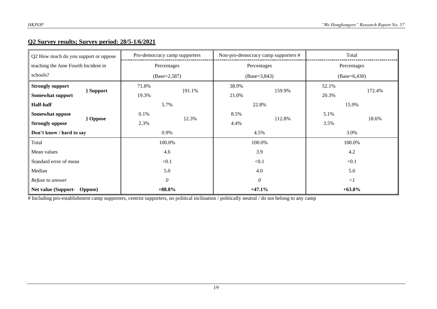#### **Q2 Survey results; Survey period: 28/5-1/6/2021**

| Q2 How much do you support or oppose      | Pro-democracy camp supporters |           | Non-pro-democracy camp supporters # |           | Total          |         |
|-------------------------------------------|-------------------------------|-----------|-------------------------------------|-----------|----------------|---------|
| teaching the June Fourth Incident in      | Percentages                   |           | Percentages                         |           | Percentages    |         |
| schools?                                  | $(Base=2,587)$                |           | $(Base=3, 843)$                     |           | $(Base=6,430)$ |         |
| <b>Strongly support</b>                   | 71.8%                         |           | 38.9%                               |           | 52.1%          |         |
| } Support<br>Somewhat support             | 19.3%                         | ${91.1%$  | 21.0%                               | }59.9%    | 20.3%          | 72.4%   |
| <b>Half-half</b>                          | 5.7%                          |           | 22.8%                               |           | 15.9%          |         |
| Somewhat oppose                           | 0.1%                          |           | 8.5%                                |           | 5.1%           |         |
| <b>}</b> Oppose<br><b>Strongly oppose</b> | 2.3%                          | $\{2.3\%$ | 4.4%                                | $12.8\%$  | 3.5%           | $8.6\%$ |
| Don't know / hard to say                  | 0.9%                          |           | 4.5%                                |           | 3.0%           |         |
| Total                                     | 100.0%                        |           | 100.0%                              |           | 100.0%         |         |
| Mean values                               | 4.6                           |           | 3.9                                 |           | 4.2            |         |
| Standard error of mean                    | < 0.1                         |           | < 0.1                               |           | < 0.1          |         |
| Median                                    | 5.0                           |           | 4.0                                 |           | 5.0            |         |
| Refuse to answer                          | 0                             |           | $\theta$                            |           | $\langle$ 1    |         |
| $+88.8%$<br>Net value (Support- Oppose)   |                               | $+47.1%$  |                                     | $+63.8\%$ |                |         |

# Including pro-establishment camp supporters, centrist supporters, no political inclination / politically neutral / do not belong to any camp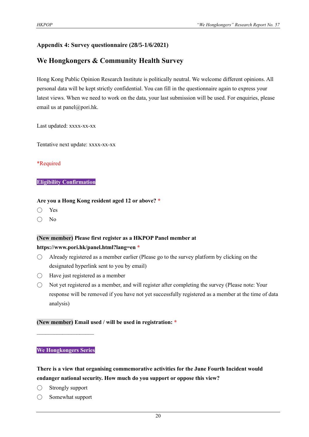## **Appendix 4: Survey questionnaire (28/5-1/6/2021)**

# **We Hongkongers & Community Health Survey**

Hong Kong Public Opinion Research Institute is politically neutral. We welcome different opinions. All personal data will be kept strictly confidential. You can fill in the questionnaire again to express your latest views. When we need to work on the data, your last submission will be used. For enquiries, please email us at panel@pori.hk.

Last updated: xxxx-xx-xx

Tentative next update: xxxx-xx-xx

#### \*Required

#### **Eligibility Confirmation**

#### **Are you a Hong Kong resident aged 12 or above? \***

- Yes
- No

#### **(New member) Please first register as a HKPOP Panel member at**

#### **https://www.pori.hk/panel.html?lang=en \***

- $\bigcirc$  Already registered as a member earlier (Please go to the survey platform by clicking on the designated hyperlink sent to you by email)
- Have just registered as a member
- $\bigcirc$  Not yet registered as a member, and will register after completing the survey (Please note: Your response will be removed if you have not yet successfully registered as a member at the time of data analysis)

#### **(New member) Email used / will be used in registration: \***

#### **We Hongkongers Series**

 $\mathcal{L}_\text{max}$  , where  $\mathcal{L}_\text{max}$ 

**There is a view that organising commemorative activities for the June Fourth Incident would endanger national security. How much do you support or oppose this view?**

- Strongly support
- Somewhat support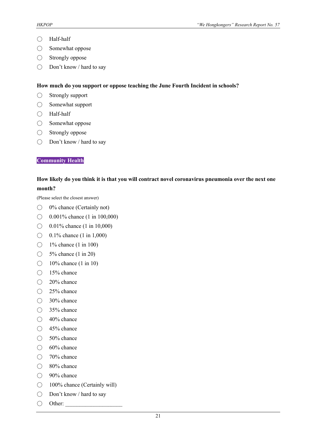- Half-half
- Somewhat oppose
- $\bigcirc$  Strongly oppose
- Don't know / hard to say

#### **How much do you support or oppose teaching the June Fourth Incident in schools?**

- Strongly support
- Somewhat support
- Half-half
- Somewhat oppose
- Strongly oppose
- Don't know / hard to say

#### **Community Health**

#### **How likely do you think it is that you will contract novel coronavirus pneumonia over the next one month?**

(Please select the closest answer)

- 0% chance (Certainly not)
- ◯ 0.001% chance (1 in 100,000)
- ◯ 0.01% chance (1 in 10,000)
- ◯ 0.1% chance (1 in 1,000)
- $\bigcirc$  1% chance (1 in 100)
- $\bigcirc$  5% chance (1 in 20)
- $\bigcirc$  10% chance (1 in 10)
- 15% chance
- 20% chance
- $\bigcirc$  25% chance
- 30% chance
- 35% chance
- 40% chance
- 45% chance
- 50% chance
- $\bigcirc$  60% chance
- 70% chance
- 80% chance
- 90% chance
- 100% chance (Certainly will)
- Don't know / hard to say
- $\bigcirc$  Other: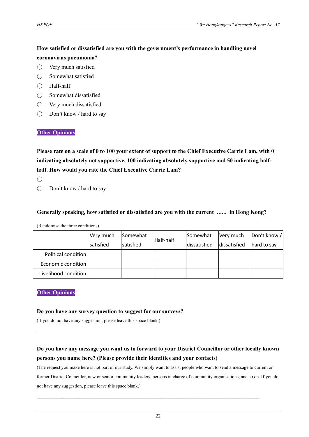# **How satisfied or dissatisfied are you with the government's performance in handling novel coronavirus pneumonia?**

- Very much satisfied
- Somewhat satisfied
- Half-half
- $\bigcap$  Somewhat dissatisfied
- Very much dissatisfied
- Don't know / hard to say

#### **Other Opinions**

**Please rate on a scale of 0 to 100 your extent of support to the Chief Executive Carrie Lam, with 0 indicating absolutely not supportive, 100 indicating absolutely supportive and 50 indicating halfhalf. How would you rate the Chief Executive Carrie Lam?**

 $\bigcap$ 

○ Don't know / hard to say

#### **Generally speaking, how satisfied or dissatisfied are you with the current …… in Hong Kong?**

(Randomise the three conditions)

|                      | Very much | Somewhat  | Half-half | Somewhat     | Very much    | Don't know / |
|----------------------|-----------|-----------|-----------|--------------|--------------|--------------|
|                      | satisfied | satisfied |           | dissatisfied | dissatisfied | hard to say  |
| Political condition  |           |           |           |              |              |              |
| Economic condition   |           |           |           |              |              |              |
| Livelihood condition |           |           |           |              |              |              |

#### **Other Opinions**

#### **Do you have any survey question to suggest for our surveys?**

(If you do not have any suggestion, please leave this space blank.)

# **Do you have any message you want us to forward to your District Councillor or other locally known persons you name here? (Please provide their identities and your contacts)**

 $\mathcal{L}_\mathcal{L} = \{ \mathcal{L}_\mathcal{L} = \{ \mathcal{L}_\mathcal{L} = \{ \mathcal{L}_\mathcal{L} = \{ \mathcal{L}_\mathcal{L} = \{ \mathcal{L}_\mathcal{L} = \{ \mathcal{L}_\mathcal{L} = \{ \mathcal{L}_\mathcal{L} = \{ \mathcal{L}_\mathcal{L} = \{ \mathcal{L}_\mathcal{L} = \{ \mathcal{L}_\mathcal{L} = \{ \mathcal{L}_\mathcal{L} = \{ \mathcal{L}_\mathcal{L} = \{ \mathcal{L}_\mathcal{L} = \{ \mathcal{L}_\mathcal{$ 

 $\mathcal{L}_\mathcal{L} = \{ \mathcal{L}_\mathcal{L} = \{ \mathcal{L}_\mathcal{L} = \{ \mathcal{L}_\mathcal{L} = \{ \mathcal{L}_\mathcal{L} = \{ \mathcal{L}_\mathcal{L} = \{ \mathcal{L}_\mathcal{L} = \{ \mathcal{L}_\mathcal{L} = \{ \mathcal{L}_\mathcal{L} = \{ \mathcal{L}_\mathcal{L} = \{ \mathcal{L}_\mathcal{L} = \{ \mathcal{L}_\mathcal{L} = \{ \mathcal{L}_\mathcal{L} = \{ \mathcal{L}_\mathcal{L} = \{ \mathcal{L}_\mathcal{$ 

(The request you make here is not part of our study. We simply want to assist people who want to send a message to current or former District Councillor, new or senior community leaders, persons in charge of community organisations, and so on. If you do not have any suggestion, please leave this space blank.)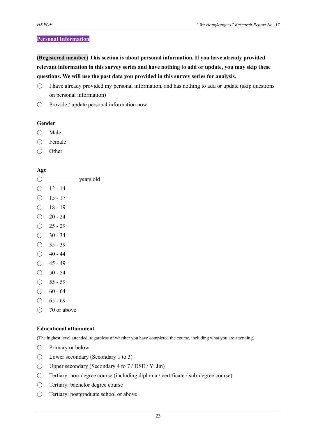#### **Personal Information**

**(Registered member) This section is about personal information. If you have already provided relevant information in this survey series and have nothing to add or update, you may skip these questions. We will use the past data you provided in this survey series for analysis.**

- $\bigcirc$  I have already provided my personal information, and has nothing to add or update (skip questions on personal information)
- Provide / update personal information now

#### **Gender**

- Male
- Female
- Other

#### **Age**

|               |           | years old |
|---------------|-----------|-----------|
| r.            | $12 - 14$ |           |
| $\rightarrow$ | 15 - 17   |           |
| ×.            | $18 - 19$ |           |
|               | $20 - 24$ |           |
|               | $25 - 29$ |           |
|               | $30 - 34$ |           |
|               | $35 - 39$ |           |
|               | 40 - 44   |           |
|               | 45 - 49   |           |

- $\bigcirc$  50 54
- $\bigcirc$  55 59
- $\bigcirc$  60 64
- $\bigcirc$  65 69
- 70 or above

#### **Educational attainment**

(The highest level attended, regardless of whether you have completed the course, including what you are attending)

- Primary or below
- $\bigcirc$  Lower secondary (Secondary 1 to 3)
- $\bigcirc$  Upper secondary (Secondary 4 to 7 / DSE / Yi Jin)
- Tertiary: non-degree course (including diploma / certificate / sub-degree course)
- Tertiary: bachelor degree course
- Tertiary: postgraduate school or above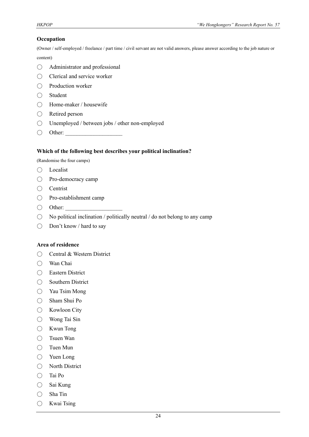#### **Occupation**

(Owner / self-employed / freelance / part time / civil servant are not valid answers, please answer according to the job nature or

content)

- Administrator and professional
- Clerical and service worker
- Production worker
- Student
- Home-maker / housewife
- Retired person
- Unemployed / between jobs / other non-employed
- $\bigcirc$  Other:

#### **Which of the following best describes your political inclination?**

(Randomise the four camps)

- Localist
- Pro-democracy camp
- Centrist
- Pro-establishment camp
- $\bigcirc$  Other:
- $\bigcirc$  No political inclination / politically neutral / do not belong to any camp
- Don't know / hard to say

#### **Area of residence**

- Central & Western District
- Wan Chai
- Eastern District
- Southern District
- Yau Tsim Mong
- Sham Shui Po
- Kowloon City
- Wong Tai Sin
- Kwun Tong
- Tsuen Wan
- Tuen Mun
- Yuen Long
- North District
- Tai Po
- Sai Kung
- Sha Tin
- Kwai Tsing